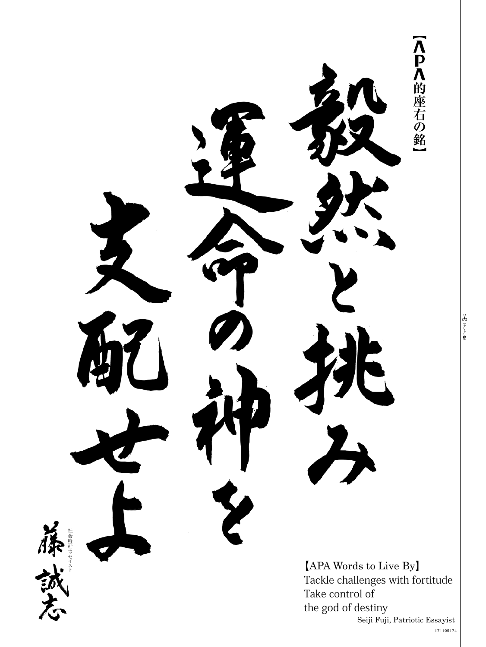

8 全りトリ線